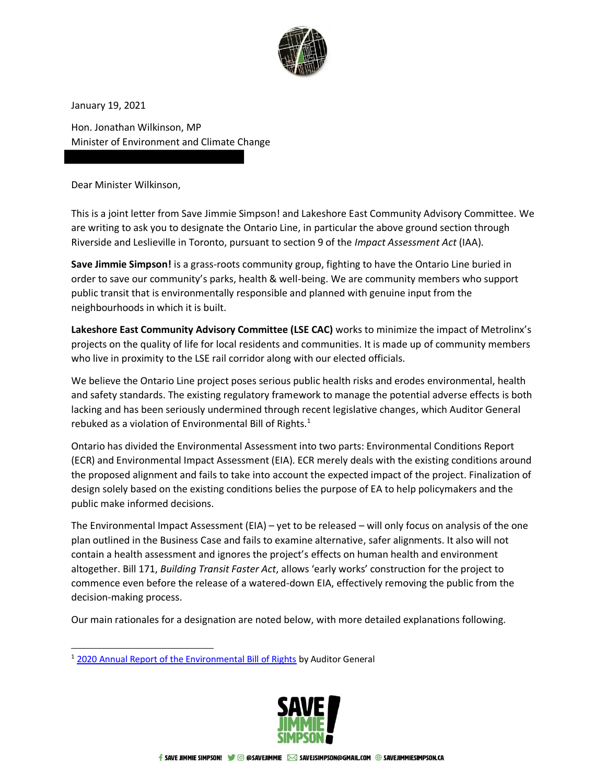

January 19, 2021

Hon. Jonathan Wilkinson, MP Minister of Environment and Climate Change

Dear Minister Wilkinson,

This is a joint letter from Save Jimmie Simpson! and Lakeshore East Community Advisory Committee. We are writing to ask you to designate the Ontario Line, in particular the above ground section through Riverside and Leslieville in Toronto, pursuant to section 9 of the *Impact Assessment Act* (IAA).

**Save Jimmie Simpson!** is a grass-roots community group, fighting to have the Ontario Line buried in order to save our community's parks, health & well-being. We are community members who support public transit that is environmentally responsible and planned with genuine input from the neighbourhoods in which it is built.

**Lakeshore East Community Advisory Committee (LSE CAC)** works to minimize the impact of Metrolinx's projects on the quality of life for local residents and communities. It is made up of community members who live in proximity to the LSE rail corridor along with our elected officials.

We believe the Ontario Line project poses serious public health risks and erodes environmental, health and safety standards. The existing regulatory framework to manage the potential adverse effects is both lacking and has been seriously undermined through recent legislative changes, which Auditor General rebuked as a violation of Environmental Bill of Rights.<sup>1</sup>

Ontario has divided the Environmental Assessment into two parts: Environmental Conditions Report (ECR) and Environmental Impact Assessment (EIA). ECR merely deals with the existing conditions around the proposed alignment and fails to take into account the expected impact of the project. Finalization of design solely based on the existing conditions belies the purpose of EA to help policymakers and the public make informed decisions.

The Environmental Impact Assessment (EIA) – yet to be released – will only focus on analysis of the one plan outlined in the Business Case and fails to examine alternative, safer alignments. It also will not contain a health assessment and ignores the project's effects on human health and environment altogether. Bill 171, *Building Transit Faster Act*, allows 'early works' construction for the project to commence even before the release of a watered-down EIA, effectively removing the public from the decision-making process.

Our main rationales for a designation are noted below, with more detailed explanations following.

<sup>&</sup>lt;sup>1</sup> [2020 Annual Report of the Environmental Bill of Rights](https://www.auditor.on.ca/en/content/news/20_newsreleases/2020news_ENV_EBR.pdf) by Auditor General

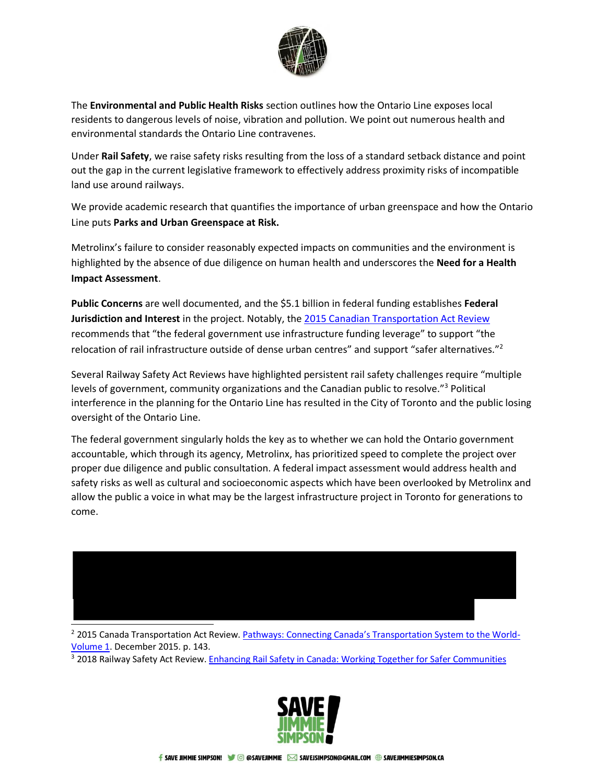

The **Environmental and Public Health Risks** section outlines how the Ontario Line exposes local residents to dangerous levels of noise, vibration and pollution. We point out numerous health and environmental standards the Ontario Line contravenes.

Under **Rail Safety**, we raise safety risks resulting from the loss of a standard setback distance and point out the gap in the current legislative framework to effectively address proximity risks of incompatible land use around railways.

We provide academic research that quantifies the importance of urban greenspace and how the Ontario Line puts **Parks and Urban Greenspace at Risk.**

Metrolinx's failure to consider reasonably expected impacts on communities and the environment is highlighted by the absence of due diligence on human health and underscores the **Need for a Health Impact Assessment**.

**Public Concerns** are well documented, and the \$5.1 billion in federal funding establishes **Federal Jurisdiction and Interest** in the project. Notably, th[e 2015 Canadian Transportation Act Review](https://tc.canada.ca/sites/default/files/migrated/ctar_vol1_en.pdf) recommends that "the federal government use infrastructure funding leverage" to support "the relocation of rail infrastructure outside of dense urban centres" and support "safer alternatives."<sup>2</sup>

Several Railway Safety Act Reviews have highlighted persistent rail safety challenges require "multiple levels of government, community organizations and the Canadian public to resolve."<sup>3</sup> Political interference in the planning for the Ontario Line has resulted in the City of Toronto and the public losing oversight of the Ontario Line.

The federal government singularly holds the key as to whether we can hold the Ontario government accountable, which through its agency, Metrolinx, has prioritized speed to complete the project over proper due diligence and public consultation. A federal impact assessment would address health and safety risks as well as cultural and socioeconomic aspects which have been overlooked by Metrolinx and allow the public a voice in what may be the largest infrastructure project in Toronto for generations to come.



<sup>2</sup> 2015 Canada Transportation Act Review. [Pathways: Connecting Canada's Transportation System to the World](https://www2.tc.gc.ca/eng/ctareview2014/ctar_vol1_en.pdf)-[Volume 1.](https://www2.tc.gc.ca/eng/ctareview2014/ctar_vol1_en.pdf) December 2015. p. 143.

<sup>3</sup> 2018 Railway Safety Act Review. [Enhancing Rail Safety in Canada: Working Together for Safer Communities](https://tc.canada.ca/sites/default/files/migrated/enhancing_rail_safety_canada_working_together_safer_communities.pdf)

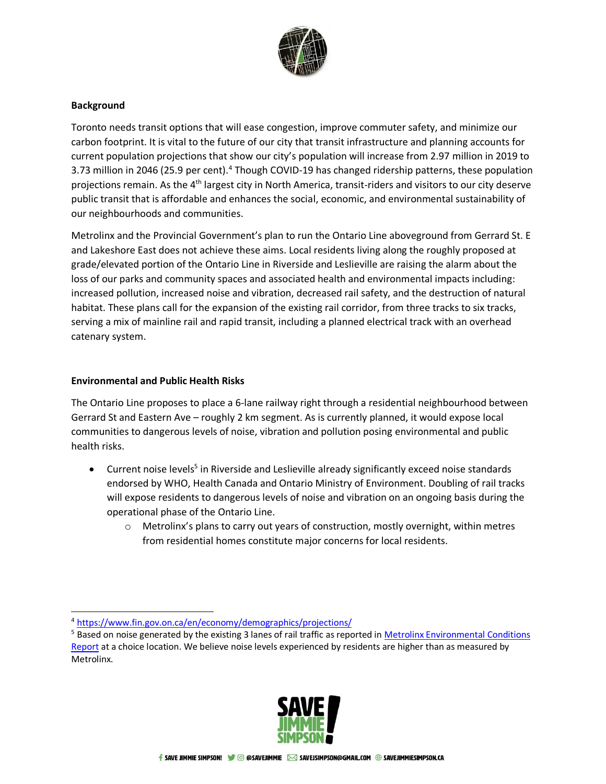

# **Background**

Toronto needs transit options that will ease congestion, improve commuter safety, and minimize our carbon footprint. It is vital to the future of our city that transit infrastructure and planning accounts for current population projections that show our city's population will increase from 2.97 million in 2019 to 3.73 million in 2046 (25.9 per cent).<sup>4</sup> Though COVID-19 has changed ridership patterns, these population projections remain. As the 4<sup>th</sup> largest city in North America, transit-riders and visitors to our city deserve public transit that is affordable and enhances the social, economic, and environmental sustainability of our neighbourhoods and communities.

Metrolinx and the Provincial Government's plan to run the Ontario Line aboveground from Gerrard St. E and Lakeshore East does not achieve these aims. Local residents living along the roughly proposed at grade/elevated portion of the Ontario Line in Riverside and Leslieville are raising the alarm about the loss of our parks and community spaces and associated health and environmental impacts including: increased pollution, increased noise and vibration, decreased rail safety, and the destruction of natural habitat. These plans call for the expansion of the existing rail corridor, from three tracks to six tracks, serving a mix of mainline rail and rapid transit, including a planned electrical track with an overhead catenary system.

# **Environmental and Public Health Risks**

The Ontario Line proposes to place a 6-lane railway right through a residential neighbourhood between Gerrard St and Eastern Ave – roughly 2 km segment. As is currently planned, it would expose local communities to dangerous levels of noise, vibration and pollution posing environmental and public health risks.

- Current noise levels<sup>5</sup> in Riverside and Leslieville already significantly exceed noise standards endorsed by WHO, Health Canada and Ontario Ministry of Environment. Doubling of rail tracks will expose residents to dangerous levels of noise and vibration on an ongoing basis during the operational phase of the Ontario Line.
	- o Metrolinx's plans to carry out years of construction, mostly overnight, within metres from residential homes constitute major concerns for local residents.

<sup>&</sup>lt;sup>5</sup> Based on noise generated by the existing 3 lanes of rail traffic as reported in Metrolinx Environmental Conditions [Report](https://www.metrolinxengage.com/sites/default/files/2020-11-30_ol_ecr_b3_nv_final_optimized_locked.pdf) at a choice location. We believe noise levels experienced by residents are higher than as measured by Metrolinx.



<sup>4</sup> <https://www.fin.gov.on.ca/en/economy/demographics/projections/>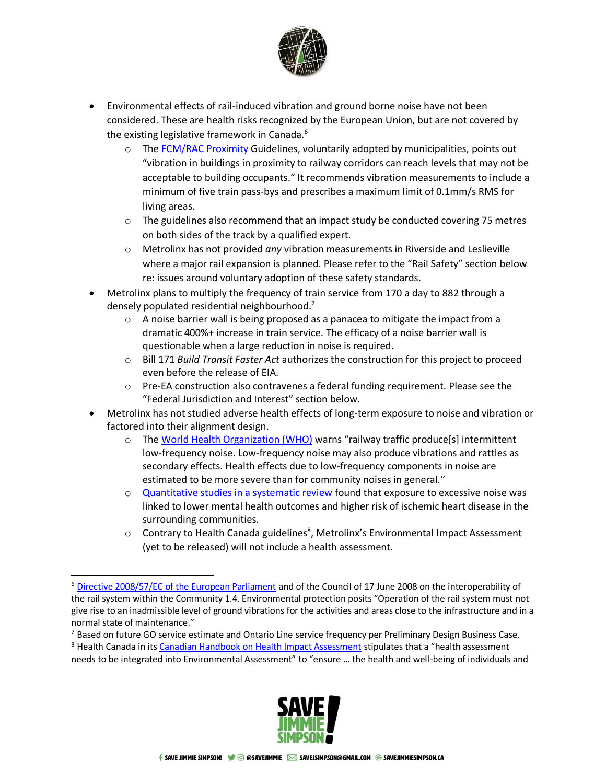

- Environmental effects of rail-induced vibration and ground borne noise have not been considered. These are health risks recognized by the European Union, but are not covered by the existing legislative framework in Canada.<sup>6</sup>
	- $\circ$  The [FCM/RAC Proximity](https://www.proximityissues.ca/wp-content/uploads/2017/09/2013_05_29_Guidelines_NewDevelopment_E.pdf) Guidelines, voluntarily adopted by municipalities, points out "vibration in buildings in proximity to railway corridors can reach levels that may not be acceptable to building occupants." It recommends vibration measurements to include a minimum of five train pass-bys and prescribes a maximum limit of 0.1mm/s RMS for living areas.
	- $\circ$  The guidelines also recommend that an impact study be conducted covering 75 metres on both sides of the track by a qualified expert.
	- o Metrolinx has not provided *any* vibration measurements in Riverside and Leslieville where a major rail expansion is planned. Please refer to the "Rail Safety" section below re: issues around voluntary adoption of these safety standards.
- Metrolinx plans to multiply the frequency of train service from 170 a day to 882 through a densely populated residential neighbourhood.<sup>7</sup>
	- $\circ$  A noise barrier wall is being proposed as a panacea to mitigate the impact from a dramatic 400%+ increase in train service. The efficacy of a noise barrier wall is questionable when a large reduction in noise is required.
	- o Bill 171 *Build Transit Faster Act* authorizes the construction for this project to proceed even before the release of EIA.
	- o Pre-EA construction also contravenes a federal funding requirement. Please see the "Federal Jurisdiction and Interest" section below.
- Metrolinx has not studied adverse health effects of long-term exposure to noise and vibration or factored into their alignment design.
	- $\circ$  The [World Health Organization \(WHO\)](https://www.who.int/docstore/peh/noise/guidelines2.html) warns "railway traffic produce[s] intermittent low-frequency noise. Low-frequency noise may also produce vibrations and rattles as secondary effects. Health effects due to low-frequency components in noise are estimated to be more severe than for community noises in general."
	- $\circ$  [Quantitative studies in a systematic review](https://bmcpublichealth.biomedcentral.com/track/pdf/10.1186/s12889-018-5870-2.pdf) found that exposure to excessive noise was linked to lower mental health outcomes and higher risk of ischemic heart disease in the surrounding communities.
	- $\circ$  Contrary to Health Canada guidelines<sup>8</sup>, Metrolinx's Environmental Impact Assessment (yet to be released) will not include a health assessment.

<sup>&</sup>lt;sup>8</sup> Health Canada in its [Canadian Handbook on Health Impact Assessment](http://hiaconnect.edu.au/old/files/hia-Volume_1.pdf) stipulates that a "health assessment needs to be integrated into Environmental Assessment" to "ensure … the health and well-being of individuals and



<sup>6</sup> [Directive 2008/57/EC of the European Parliament](https://eur-lex.europa.eu/legal-content/EN/ALL/?uri=CELEX:32008L0057) and of the Council of 17 June 2008 on the interoperability of the rail system within the Community 1.4. Environmental protection posits "Operation of the rail system must not give rise to an inadmissible level of ground vibrations for the activities and areas close to the infrastructure and in a normal state of maintenance."

 $7$  Based on future GO service estimate and Ontario Line service frequency per Preliminary Design Business Case.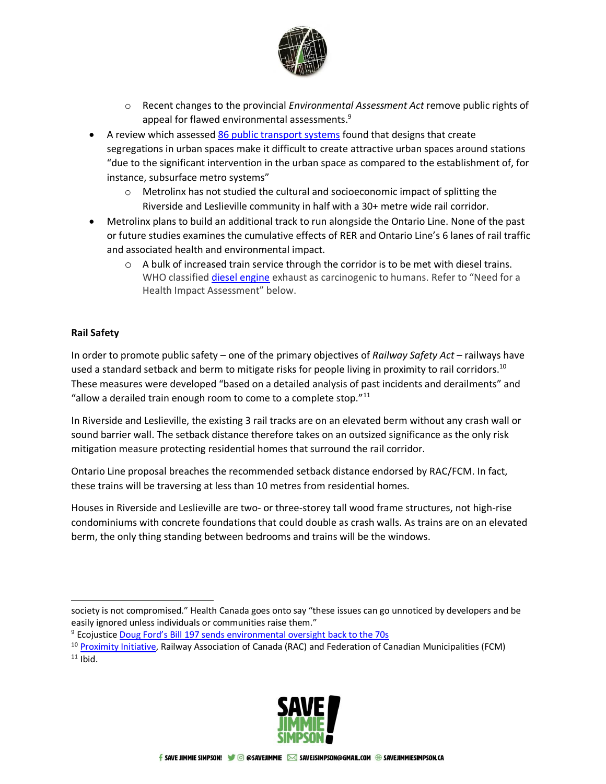

- o Recent changes to the provincial *Environmental Assessment Act* remove public rights of appeal for flawed environmental assessments.<sup>9</sup>
- A review which assessed [86 public transport systems](https://www.tandfonline.com/doi/full/10.1080/01441647.2017.1301594) found that designs that create segregations in urban spaces make it difficult to create attractive urban spaces around stations "due to the significant intervention in the urban space as compared to the establishment of, for instance, subsurface metro systems"
	- $\circ$  Metrolinx has not studied the cultural and socioeconomic impact of splitting the Riverside and Leslieville community in half with a 30+ metre wide rail corridor.
- Metrolinx plans to build an additional track to run alongside the Ontario Line. None of the past or future studies examines the cumulative effects of RER and Ontario Line's 6 lanes of rail traffic and associated health and environmental impact.
	- o A bulk of increased train service through the corridor is to be met with diesel trains. WHO classifie[d diesel engine](https://www.iarc.who.int/news-events/iarc-diesel-engine-exhaust-carcinogenic/) exhaust as carcinogenic to humans. Refer to "Need for a Health Impact Assessment" below.

# **Rail Safety**

In order to promote public safety – one of the primary objectives of *Railway Safety Act* – railways have used a standard setback and berm to mitigate risks for people living in proximity to rail corridors.<sup>10</sup> These measures were developed "based on a detailed analysis of past incidents and derailments" and "allow a derailed train enough room to come to a complete stop." $^{11}$ 

In Riverside and Leslieville, the existing 3 rail tracks are on an elevated berm without any crash wall or sound barrier wall. The setback distance therefore takes on an outsized significance as the only risk mitigation measure protecting residential homes that surround the rail corridor.

Ontario Line proposal breaches the recommended setback distance endorsed by RAC/FCM. In fact, these trains will be traversing at less than 10 metres from residential homes.

Houses in Riverside and Leslieville are two- or three-storey tall wood frame structures, not high-rise condominiums with concrete foundations that could double as crash walls. As trains are on an elevated berm, the only thing standing between bedrooms and trains will be the windows.

<sup>9</sup> Ecojustice [Doug Ford's Bill 197 sends environmental oversight back to the 70s](https://ecojustice.ca/pressrelease/bill-197-sending-ontario-back-to-70s/)

<sup>&</sup>lt;sup>10</sup> [Proximity Initiative,](https://www.proximityissues.ca/wp-content/uploads/2017/09/2013_05_29_Guidelines_NewDevelopment_E.pdf) Railway Association of Canada (RAC) and Federation of Canadian Municipalities (FCM)  $11$  Ibid.



society is not compromised." Health Canada goes onto say "these issues can go unnoticed by developers and be easily ignored unless individuals or communities raise them."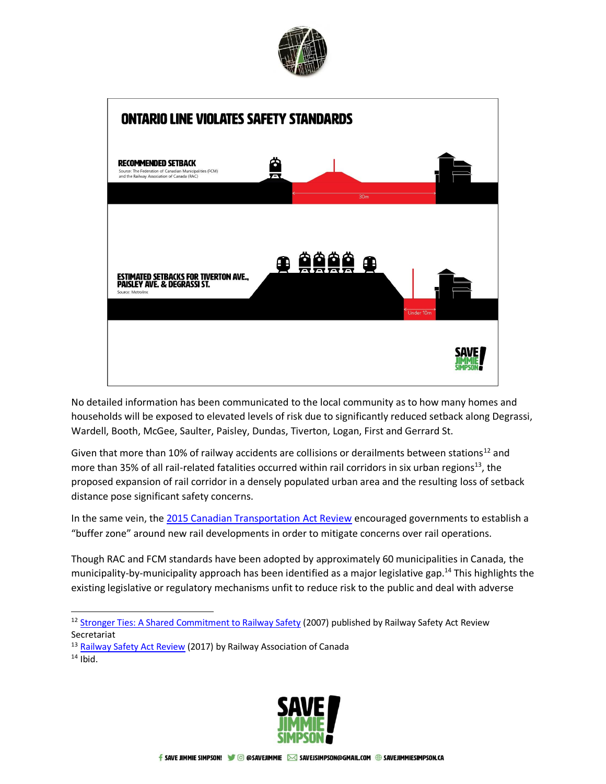



No detailed information has been communicated to the local community as to how many homes and households will be exposed to elevated levels of risk due to significantly reduced setback along Degrassi, Wardell, Booth, McGee, Saulter, Paisley, Dundas, Tiverton, Logan, First and Gerrard St.

Given that more than 10% of railway accidents are collisions or derailments between stations<sup>12</sup> and more than 35% of all rail-related fatalities occurred within rail corridors in six urban regions<sup>13</sup>, the proposed expansion of rail corridor in a densely populated urban area and the resulting loss of setback distance pose significant safety concerns.

In the same vein, the [2015 Canadian Transportation Act Review](https://tc.canada.ca/sites/default/files/migrated/ctar_vol1_en.pdf) encouraged governments to establish a "buffer zone" around new rail developments in order to mitigate concerns over rail operations.

Though RAC and FCM standards have been adopted by approximately 60 municipalities in Canada, the municipality-by-municipality approach has been identified as a major legislative gap.<sup>14</sup> This highlights the existing legislative or regulatory mechanisms unfit to reduce risk to the public and deal with adverse

- <sup>13</sup> [Railway Safety Act Review](https://www.railcan.ca/wp-content/uploads/2018/01/Railway_Safety_Act_Review.pdf) (2017) by Railway Association of Canada
- $14$  Ibid.



<sup>&</sup>lt;sup>12</sup> [Stronger Ties: A Shared Commitment to Railway Safety](https://www.tc.canada.ca/sites/default/files/migrated/transport_stronger_ties_report_final_e.pdf) (2007) published by Railway Safety Act Review Secretariat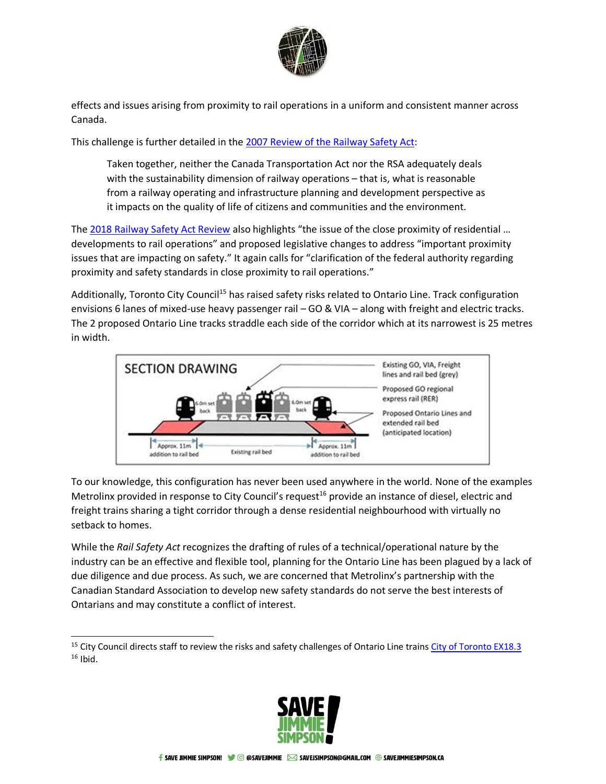

effects and issues arising from proximity to rail operations in a uniform and consistent manner across Canada.

This challenge is further detailed in the [2007 Review of the Railway Safety Act:](https://www.tc.canada.ca/sites/default/files/migrated/transport_stronger_ties_report_final_e.pdf)

Taken together, neither the Canada Transportation Act nor the RSA adequately deals with the sustainability dimension of railway operations – that is, what is reasonable from a railway operating and infrastructure planning and development perspective as it impacts on the quality of life of citizens and communities and the environment.

The [2018 Railway Safety Act Review](https://tc.canada.ca/sites/default/files/migrated/enhancing_rail_safety_canada_working_together_safer_communities.pdf) also highlights "the issue of the close proximity of residential … developments to rail operations" and proposed legislative changes to address "important proximity issues that are impacting on safety." It again calls for "clarification of the federal authority regarding proximity and safety standards in close proximity to rail operations."

Additionally, Toronto City Council<sup>15</sup> has raised safety risks related to Ontario Line. Track configuration envisions 6 lanes of mixed-use heavy passenger rail – GO & VIA – along with freight and electric tracks. The 2 proposed Ontario Line tracks straddle each side of the corridor which at its narrowest is 25 metres in width.



To our knowledge, this configuration has never been used anywhere in the world. None of the examples Metrolinx provided in response to City Council's request<sup>16</sup> provide an instance of diesel, electric and freight trains sharing a tight corridor through a dense residential neighbourhood with virtually no setback to homes.

While the *Rail Safety Act* recognizes the drafting of rules of a technical/operational nature by the industry can be an effective and flexible tool, planning for the Ontario Line has been plagued by a lack of due diligence and due process. As such, we are concerned that Metrolinx's partnership with the Canadian Standard Association to develop new safety standards do not serve the best interests of Ontarians and may constitute a conflict of interest.

<sup>&</sup>lt;sup>15</sup> City Council directs staff to review the risks and safety challenges of Ontario Line train[s City of Toronto EX18.3](https://www.toronto.ca/legdocs/mmis/2020/ex/bgrd/backgroundfile-158072.pdf) <sup>16</sup> Ibid.

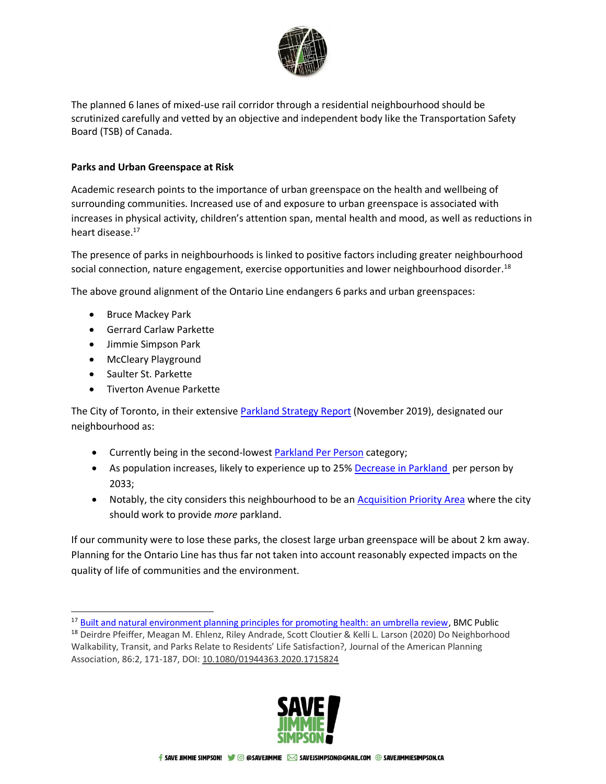

The planned 6 lanes of mixed-use rail corridor through a residential neighbourhood should be scrutinized carefully and vetted by an objective and independent body like the Transportation Safety Board (TSB) of Canada.

# **Parks and Urban Greenspace at Risk**

Academic research points to the importance of urban greenspace on the health and wellbeing of surrounding communities. Increased use of and exposure to urban greenspace is associated with increases in physical activity, children's attention span, mental health and mood, as well as reductions in heart disease.<sup>17</sup>

The presence of parks in neighbourhoods is linked to positive factors including greater neighbourhood social connection, nature engagement, exercise opportunities and lower neighbourhood disorder.<sup>18</sup>

The above ground alignment of the Ontario Line endangers 6 parks and urban greenspaces:

- Bruce Mackey Park
- Gerrard Carlaw Parkette
- Jimmie Simpson Park
- McCleary Playground
- Saulter St. Parkette
- Tiverton Avenue Parkette

The City of Toronto, in their extensive [Parkland Strategy Report](https://www.toronto.ca/wp-content/uploads/2019/11/97fb-parkland-strategy-full-report-final.pdf) (November 2019), designated our neighbourhood as:

- Currently being in the second-lowest [Parkland Per Person](https://www.toronto.ca/wp-content/uploads/2019/11/90b8-ParklandProvision2016.jpg) category;
- As population increases, likely to experience up to 25% [Decrease in Parkland](https://urldefense.com/v3/__https:/www.toronto.ca/wp-content/uploads/2019/11/9840-ImpactOfGrowth.jpg__;!!O9lNpA!x8vKkxtGWwb4PGy_mOwrjLtBzP8dkHXfLyg7qVdlEGOymqEgA8z6Pbn3sQXx$) per person by 2033;
- Notably, the city considers this neighbourhood to be an **Acquisition Priority Area** where the city should work to provide *more* parkland.

If our community were to lose these parks, the closest large urban greenspace will be about 2 km away. Planning for the Ontario Line has thus far not taken into account reasonably expected impacts on the quality of life of communities and the environment.

<sup>&</sup>lt;sup>18</sup> Deirdre Pfeiffer, Meagan M. Ehlenz, Riley Andrade, Scott Cloutier & Kelli L. Larson (2020) Do Neighborhood Walkability, Transit, and Parks Relate to Residents' Life Satisfaction?, Journal of the American Planning Association, 86:2, 171-187, DOI: [10.1080/01944363.2020.1715824](https://doi.org/10.1080/01944363.2020.1715824)



<sup>&</sup>lt;sup>17</sup> [Built and natural environment planning principles for promoting health: an umbrella review,](https://bmcpublichealth.biomedcentral.com/track/pdf/10.1186/s12889-018-5870-2.pdf) BMC Public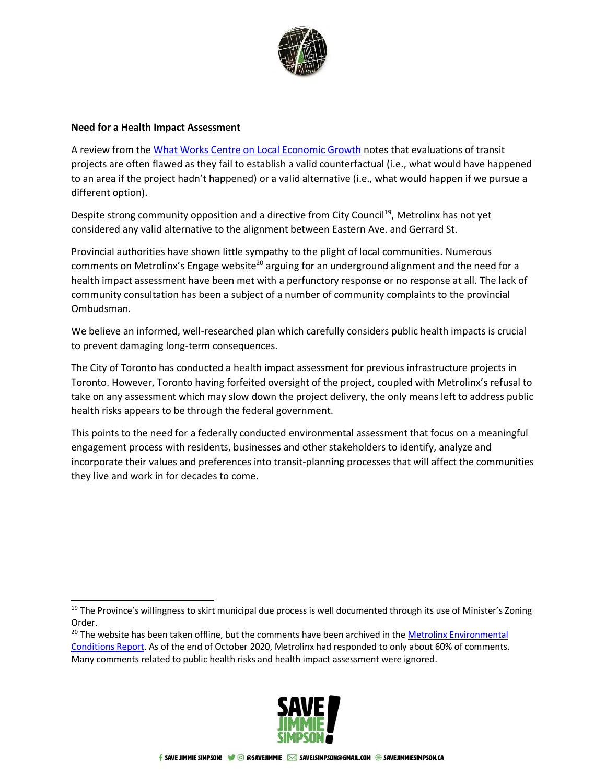

#### **Need for a Health Impact Assessment**

A review from the [What Works Centre on Local Economic Growth](https://whatworksgrowth.org/public/files/Policy_Reviews/15-06-25_Transport_Review.pdf) notes that evaluations of transit projects are often flawed as they fail to establish a valid counterfactual (i.e., what would have happened to an area if the project hadn't happened) or a valid alternative (i.e., what would happen if we pursue a different option).

Despite strong community opposition and a directive from City Council<sup>19</sup>, Metrolinx has not yet considered any valid alternative to the alignment between Eastern Ave. and Gerrard St.

Provincial authorities have shown little sympathy to the plight of local communities. Numerous comments on Metrolinx's Engage website<sup>20</sup> arguing for an underground alignment and the need for a health impact assessment have been met with a perfunctory response or no response at all. The lack of community consultation has been a subject of a number of community complaints to the provincial Ombudsman.

We believe an informed, well-researched plan which carefully considers public health impacts is crucial to prevent damaging long-term consequences.

The City of Toronto has conducted a health impact assessment for previous infrastructure projects in Toronto. However, Toronto having forfeited oversight of the project, coupled with Metrolinx's refusal to take on any assessment which may slow down the project delivery, the only means left to address public health risks appears to be through the federal government.

This points to the need for a federally conducted environmental assessment that focus on a meaningful engagement process with residents, businesses and other stakeholders to identify, analyze and incorporate their values and preferences into transit-planning processes that will affect the communities they live and work in for decades to come.

<sup>&</sup>lt;sup>20</sup> The website has been taken offline, but the comments have been archived in the Metrolinx Environmental [Conditions Report.](https://www.metrolinxengage.com/sites/default/files/appendix_c5_-_stakeholder_consultation_and_correspondence_lock.pdf) As of the end of October 2020, Metrolinx had responded to only about 60% of comments. Many comments related to public health risks and health impact assessment were ignored.



 $19$  The Province's willingness to skirt municipal due process is well documented through its use of Minister's Zoning Order.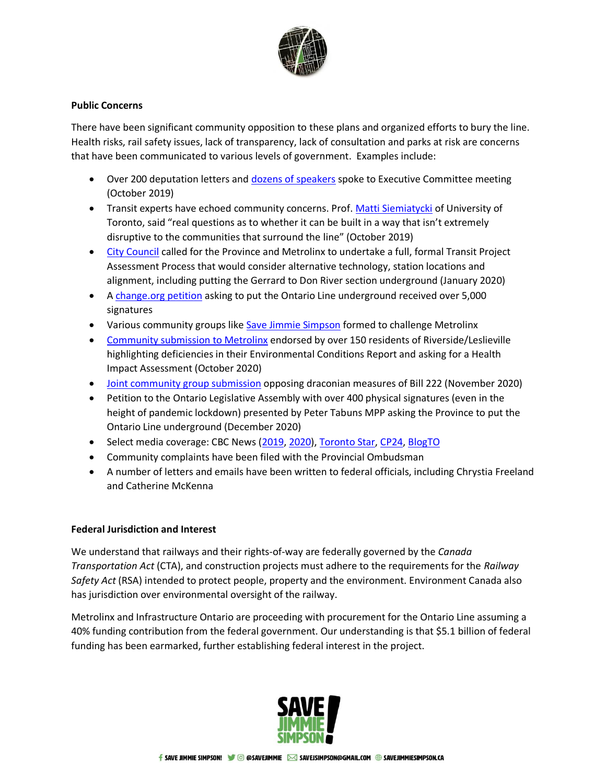

## **Public Concerns**

There have been significant community opposition to these plans and organized efforts to bury the line. Health risks, rail safety issues, lack of transparency, lack of consultation and parks at risk are concerns that have been communicated to various levels of government. Examples include:

- Over 200 deputation letters and [dozens of speakers](https://www.youtube.com/watch?t=2661&v=71eh8mje-fY&feature=youtu.be) spoke to Executive Committee meeting (October 2019)
- Transit experts have echoed community concerns. Prof. [Matti Siemiatycki](https://www.tvo.org/transcript/2585130/historic-ttc-deal-the-way-forward) of University of Toronto, said "real questions as to whether it can be built in a way that isn't extremely disruptive to the communities that surround the line" (October 2019)
- [City Council](http://councillorpaulafletcher.ca/july20/) called for the Province and Metrolinx to undertake a full, formal Transit Project Assessment Process that would consider alternative technology, station locations and alignment, including putting the Gerrard to Don River section underground (January 2020)
- A [change.org petition](https://www.change.org/p/government-of-ontario-keep-the-ontario-line-underground) asking to put the Ontario Line underground received over 5,000 signatures
- Various community groups lik[e Save Jimmie Simpson](http://savejimmiesimpson.ca/) formed to challenge Metrolinx
- [Community submission](https://www.linkedin.com/feed/update/urn:li:activity:6724699927844392960/) to Metrolinx endorsed by over 150 residents of Riverside/Leslieville highlighting deficiencies in their Environmental Conditions Report and asking for a Health Impact Assessment (October 2020)
- [Joint community group submission](https://www.linkedin.com/feed/update/urn:li:activity:6736837914078040064) opposing draconian measures of Bill 222 (November 2020)
- Petition to the Ontario Legislative Assembly with over 400 physical signatures (even in the height of pandemic lockdown) presented by Peter Tabuns MPP asking the Province to put the Ontario Line underground (December 2020)
- Select media coverage: CBC News [\(2019,](https://www.cbc.ca/news/canada/toronto/executive-committee-considers-transit-deal-1.5331791) [2020\)](https://ici.radio-canada.ca/nouvelle/1744890/ligne-ontario-metrolinx-leslieville-toronto-risques-sante-health-risks), [Toronto Star,](https://www.thestar.com/news/gta/2020/09/29/queen-street-community-centre-spared-in-revamped-ontario-line-plan-but-local-residents-remain-wary.html) [CP24,](https://www.cp24.com/video?clipId=1811405) [BlogTO](https://www.blogto.com/city/2020/02/ontario-line-map-above-ground/)
- Community complaints have been filed with the Provincial Ombudsman
- A number of letters and emails have been written to federal officials, including Chrystia Freeland and Catherine McKenna

## **Federal Jurisdiction and Interest**

We understand that railways and their rights-of-way are federally governed by the *Canada Transportation Act* (CTA), and construction projects must adhere to the requirements for the *Railway Safety Act* (RSA) intended to protect people, property and the environment. Environment Canada also has jurisdiction over environmental oversight of the railway.

Metrolinx and Infrastructure Ontario are proceeding with procurement for the Ontario Line assuming a 40% funding contribution from the federal government. Our understanding is that \$5.1 billion of federal funding has been earmarked, further establishing federal interest in the project.

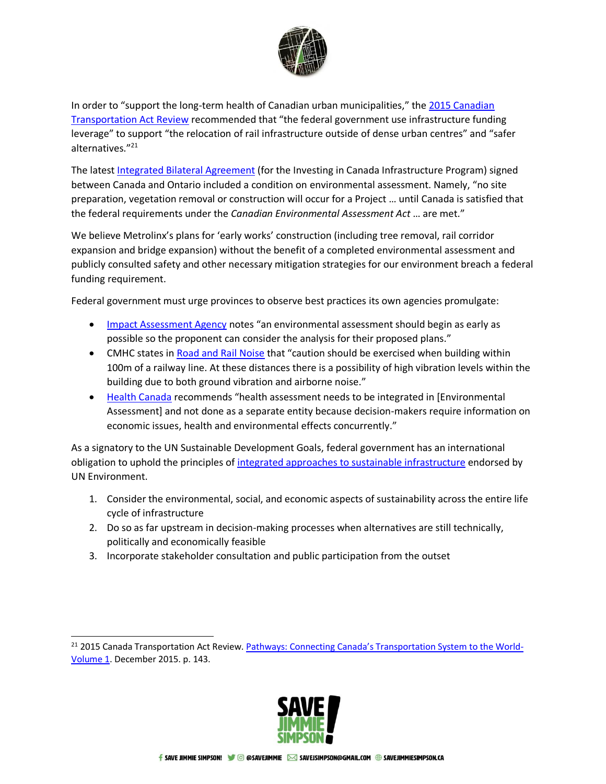

In order to "support the long-term health of Canadian urban municipalities," the [2015 Canadian](https://tc.canada.ca/sites/default/files/migrated/ctar_vol1_en.pdf)  [Transportation Act Review](https://tc.canada.ca/sites/default/files/migrated/ctar_vol1_en.pdf) recommended that "the federal government use infrastructure funding leverage" to support "the relocation of rail infrastructure outside of dense urban centres" and "safer alternatives."<sup>21</sup>

The latest [Integrated Bilateral Agreement](https://www.infrastructure.gc.ca/prog/agreements-ententes/2018/2018-on-eng.html) (for the Investing in Canada Infrastructure Program) signed between Canada and Ontario included a condition on environmental assessment. Namely, "no site preparation, vegetation removal or construction will occur for a Project … until Canada is satisfied that the federal requirements under the *Canadian Environmental Assessment Act* … are met."

We believe Metrolinx's plans for 'early works' construction (including tree removal, rail corridor expansion and bridge expansion) without the benefit of a completed environmental assessment and publicly consulted safety and other necessary mitigation strategies for our environment breach a federal funding requirement.

Federal government must urge provinces to observe best practices its own agencies promulgate:

- [Impact Assessment Agency](https://www.canada.ca/en/impact-assessment-agency/services/environmental-assessments/basics-environmental-assessment.html) notes "an environmental assessment should begin as early as possible so the proponent can consider the analysis for their proposed plans."
- CMHC states i[n Road and Rail Noise](https://nrc-publications.canada.ca/eng/view/ft/?id=48a42a3e-a7c4-4df2-8f5a-9fd2b2e51687) that "caution should be exercised when building within 100m of a railway line. At these distances there is a possibility of high vibration levels within the building due to both ground vibration and airborne noise."
- [Health Canada](http://hiaconnect.edu.au/old/files/hia-Volume_1.pdf) recommends "health assessment needs to be integrated in [Environmental Assessment] and not done as a separate entity because decision-makers require information on economic issues, health and environmental effects concurrently."

As a signatory to the UN Sustainable Development Goals, federal government has an international obligation to uphold the principles of integrated approaches to [sustainable infrastructure](https://www.greengrowthknowledge.org/sites/default/files/downloads/resource/Integrated_Approaches_To_Sustainable_Infrastructure_UNEP.pdf) endorsed by UN Environment.

- 1. Consider the environmental, social, and economic aspects of sustainability across the entire life cycle of infrastructure
- 2. Do so as far upstream in decision-making processes when alternatives are still technically, politically and economically feasible
- 3. Incorporate stakeholder consultation and public participation from the outset

<sup>&</sup>lt;sup>21</sup> 2015 Canada Transportation Act Review. [Pathways: Connecting Canada's Transportation System to the World](https://www2.tc.gc.ca/eng/ctareview2014/ctar_vol1_en.pdf)-[Volume 1.](https://www2.tc.gc.ca/eng/ctareview2014/ctar_vol1_en.pdf) December 2015. p. 143.

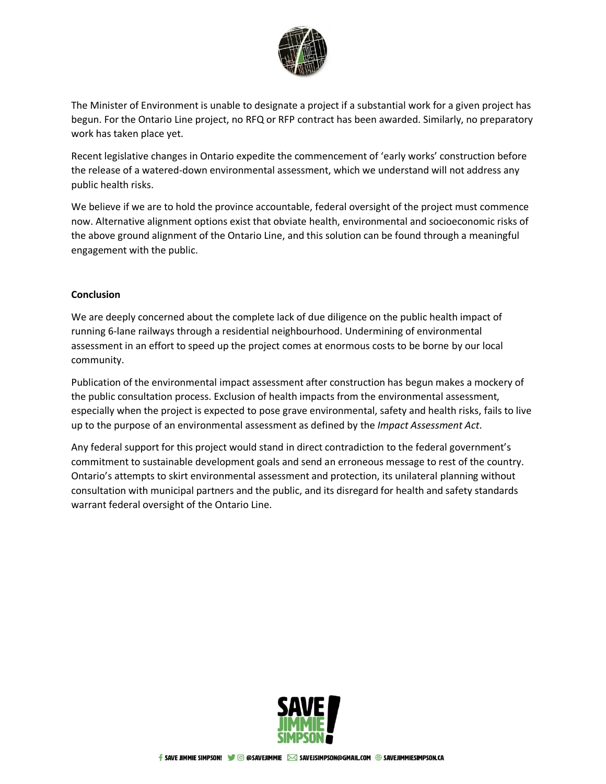

The Minister of Environment is unable to designate a project if a substantial work for a given project has begun. For the Ontario Line project, no RFQ or RFP contract has been awarded. Similarly, no preparatory work has taken place yet.

Recent legislative changes in Ontario expedite the commencement of 'early works' construction before the release of a watered-down environmental assessment, which we understand will not address any public health risks.

We believe if we are to hold the province accountable, federal oversight of the project must commence now. Alternative alignment options exist that obviate health, environmental and socioeconomic risks of the above ground alignment of the Ontario Line, and this solution can be found through a meaningful engagement with the public.

## **Conclusion**

We are deeply concerned about the complete lack of due diligence on the public health impact of running 6-lane railways through a residential neighbourhood. Undermining of environmental assessment in an effort to speed up the project comes at enormous costs to be borne by our local community.

Publication of the environmental impact assessment after construction has begun makes a mockery of the public consultation process. Exclusion of health impacts from the environmental assessment, especially when the project is expected to pose grave environmental, safety and health risks, fails to live up to the purpose of an environmental assessment as defined by the *Impact Assessment Act*.

Any federal support for this project would stand in direct contradiction to the federal government's commitment to sustainable development goals and send an erroneous message to rest of the country. Ontario's attempts to skirt environmental assessment and protection, its unilateral planning without consultation with municipal partners and the public, and its disregard for health and safety standards warrant federal oversight of the Ontario Line.